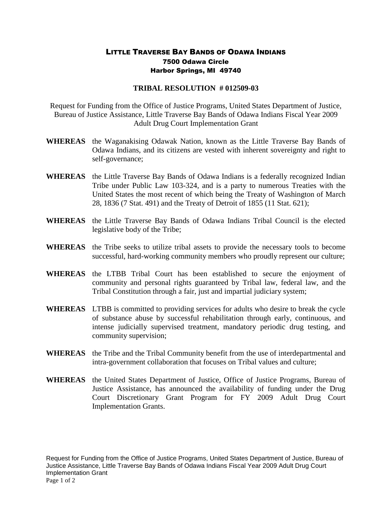## LITTLE TRAVERSE BAY BANDS OF ODAWA INDIANS 7500 Odawa Circle Harbor Springs, MI 49740

## **TRIBAL RESOLUTION # 012509-03**

Request for Funding from the Office of Justice Programs, United States Department of Justice, Bureau of Justice Assistance, Little Traverse Bay Bands of Odawa Indians Fiscal Year 2009 Adult Drug Court Implementation Grant

- **WHEREAS** the Waganakising Odawak Nation, known as the Little Traverse Bay Bands of Odawa Indians, and its citizens are vested with inherent sovereignty and right to self-governance;
- **WHEREAS** the Little Traverse Bay Bands of Odawa Indians is a federally recognized Indian Tribe under Public Law 103-324, and is a party to numerous Treaties with the United States the most recent of which being the Treaty of Washington of March 28, 1836 (7 Stat. 491) and the Treaty of Detroit of 1855 (11 Stat. 621);
- **WHEREAS** the Little Traverse Bay Bands of Odawa Indians Tribal Council is the elected legislative body of the Tribe;
- **WHEREAS** the Tribe seeks to utilize tribal assets to provide the necessary tools to become successful, hard-working community members who proudly represent our culture;
- **WHEREAS** the LTBB Tribal Court has been established to secure the enjoyment of community and personal rights guaranteed by Tribal law, federal law, and the Tribal Constitution through a fair, just and impartial judiciary system;
- **WHEREAS** LTBB is committed to providing services for adults who desire to break the cycle of substance abuse by successful rehabilitation through early, continuous, and intense judicially supervised treatment, mandatory periodic drug testing, and community supervision;
- **WHEREAS** the Tribe and the Tribal Community benefit from the use of interdepartmental and intra-government collaboration that focuses on Tribal values and culture;
- **WHEREAS** the United States Department of Justice, Office of Justice Programs, Bureau of Justice Assistance, has announced the availability of funding under the Drug Court Discretionary Grant Program for FY 2009 Adult Drug Court Implementation Grants.